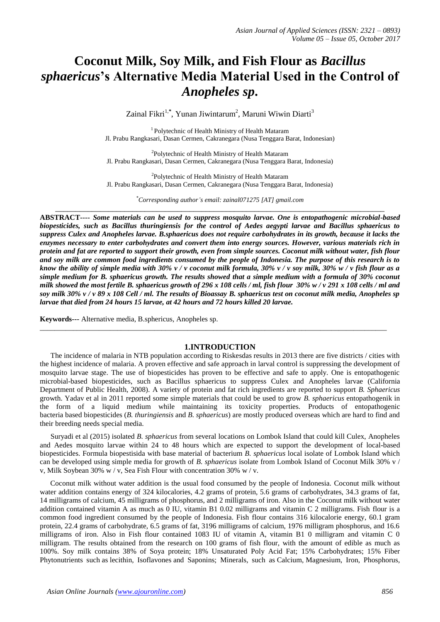# **Coconut Milk, Soy Milk, and Fish Flour as** *Bacillus sphaericus***'s Alternative Media Material Used in the Control of** *Anopheles sp***.**

Zainal Fikri<sup>1,\*</sup>, Yunan Jiwintarum<sup>2</sup>, Maruni Wiwin Diarti<sup>3</sup>

<sup>1</sup> Polytechnic of Health Ministry of Health Mataram Jl. Prabu Rangkasari, Dasan Cermen, Cakranegara (Nusa Tenggara Barat, Indonesian)

<sup>2</sup>Polytechnic of Health Ministry of Health Mataram Jl. Prabu Rangkasari, Dasan Cermen, Cakranegara (Nusa Tenggara Barat, Indonesia)

<sup>2</sup>Polytechnic of Health Ministry of Health Mataram Jl. Prabu Rangkasari, Dasan Cermen, Cakranegara (Nusa Tenggara Barat, Indonesia)

*\*Corresponding author's email: zainal071275 [AT] gmail.com* \_\_\_\_\_\_\_\_\_\_\_\_\_\_\_\_\_\_\_\_\_\_\_\_\_\_\_\_\_\_\_\_\_\_\_\_\_\_\_\_\_\_\_\_\_\_\_\_\_\_\_\_\_\_\_\_\_\_\_\_\_\_\_\_\_\_\_\_\_\_\_\_\_\_\_\_\_\_\_\_\_

**ABSTRACT----** *Some materials can be used to suppress mosquito larvae. One is entopathogenic microbial-based biopesticides, such as Bacillus thuringiensis for the control of Aedes aegypti larvae and Bacillus sphaericus to suppress Culex and Anopheles larvae. B.sphaericus does not require carbohydrates in its growth, because it lacks the enzymes necessary to enter carbohydrates and convert them into energy sources. However, various materials rich in protein and fat are reported to support their growth, even from simple sources. Coconut milk without water, fish flour and soy milk are common food ingredients consumed by the people of Indonesia. The purpose of this research is to know the ability of simple media with 30% v / v coconut milk formula, 30% v / v soy milk, 30% w / v fish flour as a simple medium for B. sphaericus growth. The results showed that a simple medium with a formula of 30% coconut milk showed the most fertile B. sphaericus growth of 296 x 108 cells / ml, fish flour 30% w / v 291 x 108 cells / ml and soy milk 30% v / v 89 x 108 Cell / ml. The results of Bioassay B. sphaericus test on coconut milk media, Anopheles sp larvae that died from 24 hours 15 larvae, at 42 hours and 72 hours killed 20 larvae.*

**Keywords---** Alternative media, B.sphericus, Anopheles sp.

### **1.INTRODUCTION**

\_\_\_\_\_\_\_\_\_\_\_\_\_\_\_\_\_\_\_\_\_\_\_\_\_\_\_\_\_\_\_\_\_\_\_\_\_\_\_\_\_\_\_\_\_\_\_\_\_\_\_\_\_\_\_\_\_\_\_\_\_\_\_\_\_\_\_\_\_\_\_\_\_\_\_\_\_\_\_\_\_\_\_\_\_\_\_\_\_\_\_\_\_\_

The incidence of malaria in NTB population according to Riskesdas results in 2013 there are five districts / cities with the highest incidence of malaria. A proven effective and safe approach in larval control is suppressing the development of mosquito larvae stage. The use of biopesticides has proven to be effective and safe to apply. One is entopathogenic microbial-based biopesticides, such as Bacillus sphaericus to suppress Culex and Anopheles larvae (California Department of Public Health, 2008). A variety of protein and fat rich ingredients are reported to support *B. Sphaericus* growth. Yadav et al in 2011 reported some simple materials that could be used to grow *B. sphaericus* entopathogenik in the form of a liquid medium while maintaining its toxicity properties. Products of entopathogenic bacteria based biopesticides (*B. thuringiensis* and *B. sphaericus*) are mostly produced overseas which are hard to find and their breeding needs special media.

Suryadi et al (2015) isolated *B. sphaericus* from several locations on Lombok Island that could kill Culex, Anopheles and Aedes mosquito larvae within 24 to 48 hours which are expected to support the development of local-based biopesticides. Formula biopestisida with base material of bacterium *B. sphaericus* local isolate of Lombok Island which can be developed using simple media for growth of *B. sphaericus* isolate from Lombok Island of Coconut Milk 30% v / v, Milk Soybean 30% w / v, Sea Fish Flour with concentration 30% w / v.

Coconut milk without water addition is the usual food consumed by the people of Indonesia. Coconut milk without water addition contains energy of 324 kilocalories, 4.2 grams of protein, 5.6 grams of carbohydrates, 34.3 grams of fat, 14 milligrams of calcium, 45 milligrams of phosphorus, and 2 milligrams of iron. Also in the Coconut milk without water addition contained vitamin A as much as 0 IU, vitamin B1 0.02 milligrams and vitamin C 2 milligrams. Fish flour is a common food ingredient consumed by the people of Indonesia. Fish flour contains 316 kilocalorie energy, 60.1 gram protein, 22.4 grams of carbohydrate, 6.5 grams of fat, 3196 milligrams of calcium, 1976 milligram phosphorus, and 16.6 milligrams of iron. Also in Fish flour contained 1083 IU of vitamin A, vitamin B1 0 milligram and vitamin C 0 milligram. The results obtained from the research on 100 grams of fish flour, with the amount of edible as much as 100%. Soy milk contains 38% of Soya protein; 18% Unsaturated Poly Acid Fat; 15% Carbohydrates; 15% Fiber Phytonutrients such as lecithin, Isoflavones and Saponins; Minerals, such as Calcium, Magnesium, Iron, Phosphorus,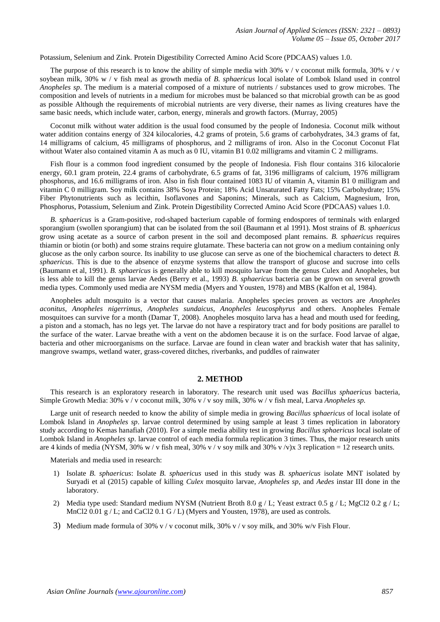Potassium, Selenium and Zink. Protein Digestibility Corrected Amino Acid Score (PDCAAS) values 1.0.

The purpose of this research is to know the ability of simple media with 30% v / v coconut milk formula, 30% v / v soybean milk, 30% w / v fish meal as growth media of *B. sphaericus* local isolate of Lombok Island used in control *Anopheles sp*. The medium is a material composed of a mixture of nutrients / substances used to grow microbes. The composition and levels of nutrients in a medium for microbes must be balanced so that microbial growth can be as good as possible Although the requirements of microbial nutrients are very diverse, their names as living creatures have the same basic needs, which include water, carbon, energy, minerals and growth factors. (Murray, 2005)

Coconut milk without water addition is the usual food consumed by the people of Indonesia. Coconut milk without water addition contains energy of 324 kilocalories, 4.2 grams of protein, 5.6 grams of carbohydrates, 34.3 grams of fat, 14 milligrams of calcium, 45 milligrams of phosphorus, and 2 milligrams of iron. Also in the Coconut Coconut Flat without Water also contained vitamin A as much as 0 IU, vitamin B1 0.02 milligrams and vitamin C 2 milligrams.

Fish flour is a common food ingredient consumed by the people of Indonesia. Fish flour contains 316 kilocalorie energy, 60.1 gram protein, 22.4 grams of carbohydrate, 6.5 grams of fat, 3196 milligrams of calcium, 1976 milligram phosphorus, and 16.6 milligrams of iron. Also in fish flour contained 1083 IU of vitamin A, vitamin B1 0 milligram and vitamin C 0 milligram. Soy milk contains 38% Soya Protein; 18% Acid Unsaturated Fatty Fats; 15% Carbohydrate; 15% Fiber Phytonutrients such as lecithin, Isoflavones and Saponins; Minerals, such as Calcium, Magnesium, Iron, Phosphorus, Potassium, Selenium and Zink. Protein Digestibility Corrected Amino Acid Score (PDCAAS) values 1.0.

*B. sphaericus* is a Gram-positive, rod-shaped bacterium capable of forming endospores of terminals with enlarged sporangium (swollen sporangium) that can be isolated from the soil (Baumann et al 1991). Most strains of *B. sphaericus* grow using acetate as a source of carbon present in the soil and decomposed plant remains. *B. sphaericus* requires thiamin or biotin (or both) and some strains require glutamate. These bacteria can not grow on a medium containing only glucose as the only carbon source. Its inability to use glucose can serve as one of the biochemical characters to detect *B. sphaericus*. This is due to the absence of enzyme systems that allow the transport of glucose and sucrose into cells (Baumann et al, 1991). *B. sphaericus* is generally able to kill mosquito larvae from the genus Culex and Anopheles, but is less able to kill the genus larvae Aedes (Berry et al., 1993) *B. sphaericus* bacteria can be grown on several growth media types. Commonly used media are NYSM media (Myers and Yousten, 1978) and MBS (Kalfon et al, 1984).

Anopheles adult mosquito is a vector that causes malaria. Anopheles species proven as vectors are *Anopheles aconitus*, *Anopheles nigerrimus*, *Anopheles sundaicus*, *Anopheles leucosphyrus* and others. Anopheles Female mosquitoes can survive for a month (Damar T, 2008). Anopheles mosquito larva has a head and mouth used for feeding, a piston and a stomach, has no legs yet. The larvae do not have a respiratory tract and for body positions are parallel to the surface of the water. Larvae breathe with a vent on the abdomen because it is on the surface. Food larvae of algae, bacteria and other microorganisms on the surface. Larvae are found in clean water and brackish water that has salinity, mangrove swamps, wetland water, grass-covered ditches, riverbanks, and puddles of rainwater

#### **2. METHOD**

This research is an exploratory research in laboratory. The research unit used was *Bacillus sphaericus* bacteria, Simple Growth Media: 30% v / v coconut milk, 30% v / v soy milk, 30% w / v fish meal, Larva *Anopheles sp.*

Large unit of research needed to know the ability of simple media in growing *Bacillus sphaericus* of local isolate of Lombok Island in *Anopheles sp*. larvae control determined by using sample at least 3 times replication in laboratory study according to Kemas hanafiah (2010). For a simple media ability test in growing *Bacillus sphaericus* local isolate of Lombok Island in *Anopheles sp*. larvae control of each media formula replication 3 times. Thus, the major research units are 4 kinds of media (NYSM, 30% w / v fish meal, 30% v / v soy milk and 30% v /v)x 3 replication = 12 research units.

Materials and media used in research:

- 1) Isolate *B. sphaericus*: Isolate *B. sphaericus* used in this study was *B. sphaericus* isolate MNT isolated by Suryadi et al (2015) capable of killing *Culex* mosquito larvae*, Anopheles sp*, and *Aedes* instar III done in the laboratory.
- 2) Media type used: Standard medium NYSM (Nutrient Broth 8.0 g / L; Yeast extract 0.5 g / L; MgCl2 0.2 g / L; MnCl2 0.01 g / L; and CaCl2 0.1 G / L) (Myers and Yousten, 1978), are used as controls.
- 3) Medium made formula of 30% v / v coconut milk, 30% v / v soy milk, and 30% w/v Fish Flour.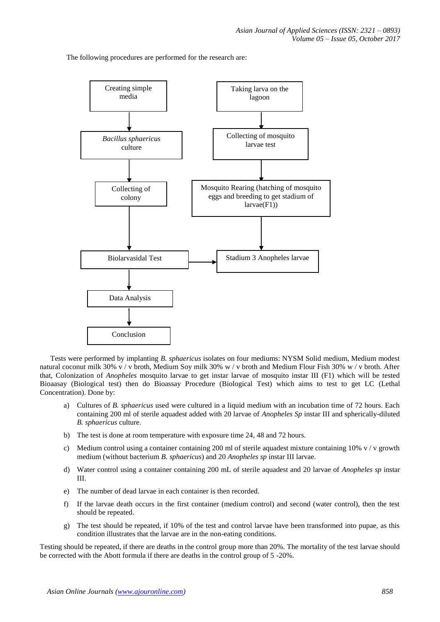The following procedures are performed for the research are:



Tests were performed by implanting *B. sphaericus* isolates on four mediums: NYSM Solid medium, Medium modest natural coconut milk 30% v / v broth, Medium Soy milk 30% w / v broth and Medium Flour Fish 30% w / v broth. After that, Colonization of *Anopheles* mosquito larvae to get instar larvae of mosquito instar III (F1) which will be tested Bioaasay (Biological test) then do Bioassay Procedure (Biological Test) which aims to test to get LC (Lethal Concentration). Done by:

- a) Cultures of *B. sphaericus* used were cultured in a liquid medium with an incubation time of 72 hours. Each containing 200 ml of sterile aquadest added with 20 larvae of *Anopheles Sp* instar III and spherically-diluted *B. sphaericus* culture.
- b) The test is done at room temperature with exposure time 24, 48 and 72 hours.
- c) Medium control using a container containing 200 ml of sterile aquadest mixture containing 10% v / v growth medium (without bacterium *B. sphaericus*) and 20 *Anopheles sp* instar III larvae.
- d) Water control using a container containing 200 mL of sterile aquadest and 20 larvae of *Anopheles sp* instar III.
- e) The number of dead larvae in each container is then recorded.
- f) If the larvae death occurs in the first container (medium control) and second (water control), then the test should be repeated.
- g) The test should be repeated, if 10% of the test and control larvae have been transformed into pupae, as this condition illustrates that the larvae are in the non-eating conditions.

Testing should be repeated, if there are deaths in the control group more than 20%. The mortality of the test larvae should be corrected with the Abott formula if there are deaths in the control group of 5 -20%.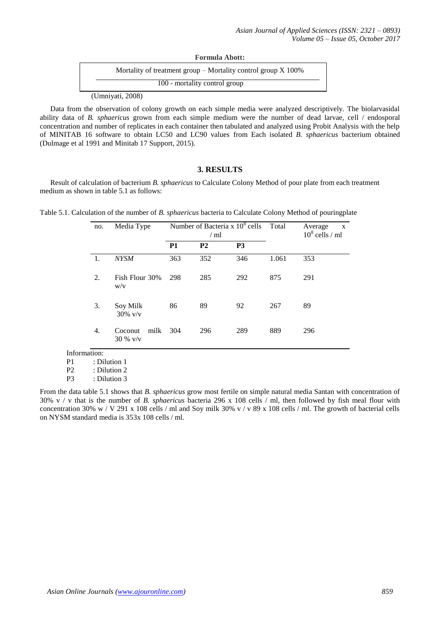| <b>Formula Abott:</b>                                             |
|-------------------------------------------------------------------|
| Mortality of treatment group $-$ Mortality control group $X$ 100% |
| 100 - mortality control group                                     |
|                                                                   |

(Umniyati, 2008)

Data from the observation of colony growth on each simple media were analyzed descriptively. The biolarvasidal ability data of *B. sphaericus* grown from each simple medium were the number of dead larvae, cell / endosporal concentration and number of replicates in each container then tabulated and analyzed using Probit Analysis with the help of MINITAB 16 software to obtain LC50 and LC90 values from Each isolated *B. sphaericus* bacterium obtained (Dulmage et al 1991 and Minitab 17 Support, 2015).

# **3. RESULTS**

Result of calculation of bacterium *B. sphaericus* to Calculate Colony Method of pour plate from each treatment medium as shown in table 5.1 as follows:

Table 5.1. Calculation of the number of *B. sphaericus* bacteria to Calculate Colony Method of pouringplate

| no. | Media Type                    | Number of Bacteria x $10^8$ cells<br>$/ \text{ml}$ |           | Total          | Average<br>$\boldsymbol{\mathrm{X}}$<br>$10^8$ cells / ml |     |
|-----|-------------------------------|----------------------------------------------------|-----------|----------------|-----------------------------------------------------------|-----|
|     |                               | <b>P1</b>                                          | <b>P2</b> | P <sub>3</sub> |                                                           |     |
| 1.  | <b>NYSM</b>                   | 363                                                | 352       | 346            | 1.061                                                     | 353 |
| 2.  | Fish Flour 30%<br>W/V         | 298                                                | 285       | 292            | 875                                                       | 291 |
| 3.  | Soy Milk<br>$30\%$ v/v        | 86                                                 | 89        | 92             | 267                                                       | 89  |
| 4.  | milk<br>Coconut<br>$30\%$ v/v | 304                                                | 296       | 289            | 889                                                       | 296 |

Information:

P1 : Dilution 1

 $P2$  : Dilution 2<br>P3 : Dilution 3 : Dilution 3

From the data table 5.1 shows that *B. sphaericus* grow most fertile on simple natural media Santan with concentration of 30% v / v that is the number of *B. sphaericus* bacteria 296 x 108 cells / ml, then followed by fish meal flour with concentration 30% w / V 291 x 108 cells / ml and Soy milk 30% v / v 89 x 108 cells / ml. The growth of bacterial cells on NYSM standard media is 353x 108 cells / ml.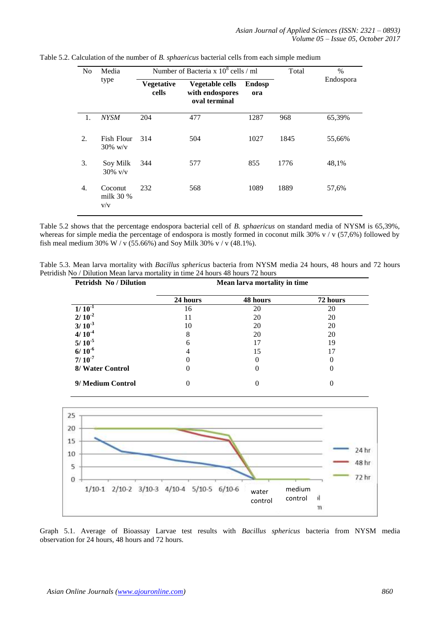| N <sub>0</sub> | Media                       | Number of Bacteria x $10^8$ cells / ml |                                                            | Total                | $\%$ |           |
|----------------|-----------------------------|----------------------------------------|------------------------------------------------------------|----------------------|------|-----------|
|                | type                        | <b>Vegetative</b><br>cells             | <b>Vegetable cells</b><br>with endospores<br>oval terminal | <b>Endosp</b><br>ora |      | Endospora |
| 1.             | <b>NYSM</b>                 | 204                                    | 477                                                        | 1287                 | 968  | 65,39%    |
| 2.             | Fish Flour<br>$30\%$ w/v    | 314                                    | 504                                                        | 1027                 | 1845 | 55,66%    |
| 3.             | Soy Milk<br>$30\%$ v/v      | 344                                    | 577                                                        | 855                  | 1776 | 48,1%     |
| 4.             | Coconut<br>milk 30 %<br>V/V | 232                                    | 568                                                        | 1089                 | 1889 | 57,6%     |

Table 5.2. Calculation of the number of *B. sphaericus* bacterial cells from each simple medium

Table 5.2 shows that the percentage endospora bacterial cell of *B. sphaericus* on standard media of NYSM is 65,39%, whereas for simple media the percentage of endospora is mostly formed in coconut milk 30% v / v (57,6%) followed by fish meal medium 30% W / v (55.66%) and Soy Milk 30% v / v (48.1%).

Table 5.3. Mean larva mortality with *Bacillus sphericus* bacteria from NYSM media 24 hours, 48 hours and 72 hours Petridish No / Dilution Mean larva mortality in time 24 hours 48 hours 72 hours

| <b>Petridsh No / Dilution</b> |          | Mean larva mortality in time |          |  |
|-------------------------------|----------|------------------------------|----------|--|
|                               | 24 hours | 48 hours                     | 72 hours |  |
| $1/10^{-1}$                   | 16       | 20                           | 20       |  |
| $2/10^{-2}$                   | 11       | 20                           | 20       |  |
| $3/10^{-3}$                   | 10       | 20                           | 20       |  |
| $4/10^{-4}$                   | 8        | 20                           | 20       |  |
| $5/10^{-5}$                   | h        |                              | 19       |  |
| $6/10^{-6}$                   |          | 15                           | 17       |  |
| $7/10^{-7}$                   |          |                              |          |  |
| 8/ Water Control              |          | $\mathbf{0}$                 |          |  |
| 9/ Medium Control             |          | 0                            |          |  |



Graph 5.1. Average of Bioassay Larvae test results with *Bacillus sphericus* bacteria from NYSM media observation for 24 hours, 48 hours and 72 hours.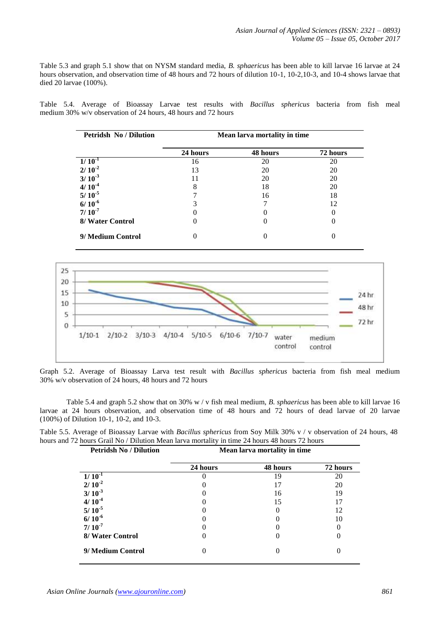Table 5.3 and graph 5.1 show that on NYSM standard media, *B. sphaericus* has been able to kill larvae 16 larvae at 24 hours observation, and observation time of 48 hours and 72 hours of dilution 10-1, 10-2,10-3, and 10-4 shows larvae that died 20 larvae (100%).

Table 5.4. Average of Bioassay Larvae test results with *Bacillus sphericus* bacteria from fish meal medium 30% w/v observation of 24 hours, 48 hours and 72 hours

| <b>Petridsh No / Dilution</b> | Mean larva mortality in time |          |          |
|-------------------------------|------------------------------|----------|----------|
|                               | 24 hours                     | 48 hours | 72 hours |
| $1/10^{-1}$                   | 16                           | 20       | 20       |
| $2/10^{-2}$                   | 13                           | 20       | 20       |
| $3/10^{3}$                    |                              | 20       | 20       |
| $4/10^{-4}$                   | 8                            | 18       | 20       |
| $5/10^{-5}$                   |                              | 16       | 18       |
| $6/10^{-6}$                   |                              |          | 12       |
| $7/10^{-7}$                   |                              |          |          |
| 8/ Water Control              |                              |          |          |
| 9/ Medium Control             |                              |          |          |



Graph 5.2. Average of Bioassay Larva test result with *Bacillus sphericus* bacteria from fish meal medium 30% w/v observation of 24 hours, 48 hours and 72 hours

Table 5.4 and graph 5.2 show that on 30% w / v fish meal medium, *B. sphaericus* has been able to kill larvae 16 larvae at 24 hours observation, and observation time of 48 hours and 72 hours of dead larvae of 20 larvae (100%) of Dilution 10-1, 10-2, and 10-3.

|                                                                                                | Table 5.5. Average of Bioassay Larvae with Bacillus sphericus from Soy Milk 30% v / v observation of 24 hours, 48 |
|------------------------------------------------------------------------------------------------|-------------------------------------------------------------------------------------------------------------------|
| hours and 72 hours Grail No / Dilution Mean larva mortality in time 24 hours 48 hours 72 hours |                                                                                                                   |

| <b>Petridsh No / Dilution</b> | Mean larva mortality in time |          |          |
|-------------------------------|------------------------------|----------|----------|
|                               | 24 hours                     | 48 hours | 72 hours |
| $1/10^{-1}$                   |                              | 19       | 20       |
| $2/10^{-2}$                   |                              | 17       | 20       |
| $3/10^{3}$                    |                              | 16       | 19       |
| $4/10^{-4}$                   |                              | 15       | 17       |
| $5/10^{-5}$                   |                              |          | 12       |
| $6/10^{-6}$                   |                              |          | 10       |
| $7/10^{-7}$                   |                              |          |          |
| 8/ Water Control              |                              |          |          |
| 9/ Medium Control             |                              |          |          |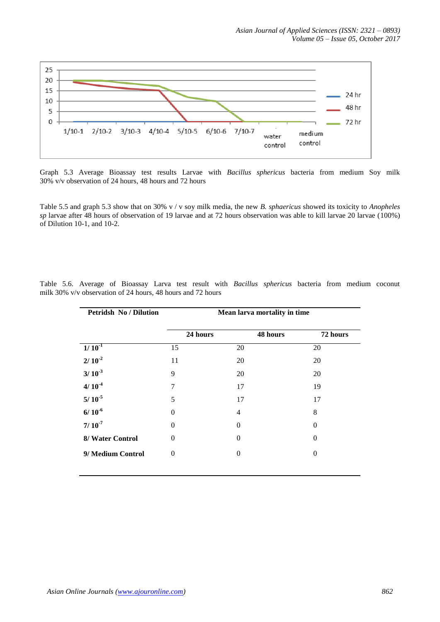

Graph 5.3 Average Bioassay test results Larvae with *Bacillus sphericus* bacteria from medium Soy milk 30% v/v observation of 24 hours, 48 hours and 72 hours

Table 5.5 and graph 5.3 show that on 30% v / v soy milk media, the new *B. sphaericus* showed its toxicity to *Anopheles sp* larvae after 48 hours of observation of 19 larvae and at 72 hours observation was able to kill larvae 20 larvae (100%) of Dilution 10-1, and 10-2.

| <b>Petridsh No / Dilution</b> | Mean larva mortality in time |                  |          |
|-------------------------------|------------------------------|------------------|----------|
|                               | 24 hours                     | 48 hours         | 72 hours |
| $1/10^{-1}$                   | 15                           | 20               | 20       |
| $2/10^{-2}$                   | 11                           | 20               | 20       |
| $3/10^{-3}$                   | 9                            | 20               | 20       |
| $4/10^{-4}$                   | 7                            | 17               | 19       |
| $5/10^{-5}$                   | 5                            | 17               | 17       |
| $6/10^{-6}$                   | $\Omega$                     | $\overline{4}$   | 8        |
| $7/10^{-7}$                   | $\Omega$                     | $\theta$         | $\Omega$ |
| 8/ Water Control              | $\Omega$                     | $\theta$         | $\Omega$ |
| 9/ Medium Control             | $\theta$                     | $\boldsymbol{0}$ | $\Omega$ |
|                               |                              |                  |          |

Table 5.6. Average of Bioassay Larva test result with *Bacillus sphericus* bacteria from medium coconut milk 30% v/v observation of 24 hours, 48 hours and 72 hours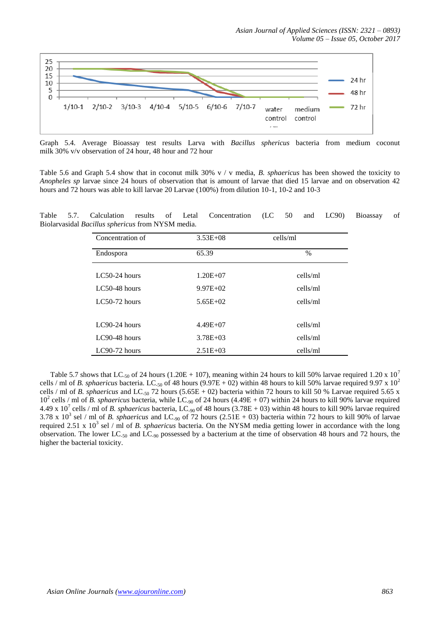

Graph 5.4. Average Bioassay test results Larva with *Bacillus sphericus* bacteria from medium coconut milk 30% v/v observation of 24 hour, 48 hour and 72 hour

Table 5.6 and Graph 5.4 show that in coconut milk 30% v / v media, *B. sphaericus* has been showed the toxicity to *Anopheles sp* larvae since 24 hours of observation that is amount of larvae that died 15 larvae and on observation 42 hours and 72 hours was able to kill larvae 20 Larvae (100%) from dilution 10-1, 10-2 and 10-3

Table 5.7. Calculation results of Letal Concentration (LC 50 and LC90) Bioassay of Biolarvasidal *Bacillus sphericus* from NYSM media.

| Concentration of | $3.53E + 08$ | cells/ml |
|------------------|--------------|----------|
| Endospora        | 65.39        | $\%$     |
| $LC50-24$ hours  | $1.20E + 07$ | cells/ml |
| $LC50-48$ hours  | $9.97E+02$   | cells/ml |
| $LC50-72$ hours  | $5.65E+02$   | cells/ml |
|                  |              |          |
| $LC90-24$ hours  | $4.49E + 07$ | cells/ml |
| $LC90-48$ hours  | $3.78E + 03$ | cells/ml |
| $LC90-72$ hours  | $2.51E + 03$ | cells/ml |

Table 5.7 shows that LC<sub>-50</sub> of 24 hours (1.20E + 107), meaning within 24 hours to kill 50% larvae required 1.20 x 10<sup>7</sup> cells / ml of *B. sphaericus* bacteria. LC<sub>-50</sub> of 48 hours (9.97E + 02) within 48 hours to kill 50% larvae required 9.97 x  $10^2$ cells / ml of *B. sphaericus* and LC<sub>-50</sub> 72 hours (5.65E + 02) bacteria within 72 hours to kill 50 % Larvae required 5.65 x 10<sup>2</sup> cells / ml of *B. sphaericus* bacteria, while LC<sub>-90</sub> of 24 hours (4.49E + 07) within 24 hours to kill 90% larvae required 4.49 x 10<sup>7</sup> cells / ml of *B. sphaericus* bacteria, LC<sub>-90</sub> of 48 hours (3.78E + 03) within 48 hours to kill 90% larvae required 3.78 x  $10^3$  sel / ml of *B. sphaericus* and LC<sub>-90</sub> of 72 hours (2.51E + 03) bacteria within 72 hours to kill 90% of larvae required 2.51 x 10<sup>3</sup> sel / ml of *B. sphaericus* bacteria. On the NYSM media getting lower in accordance with the long observation. The lower LC-50 and LC-90 possessed by a bacterium at the time of observation 48 hours and 72 hours, the higher the bacterial toxicity.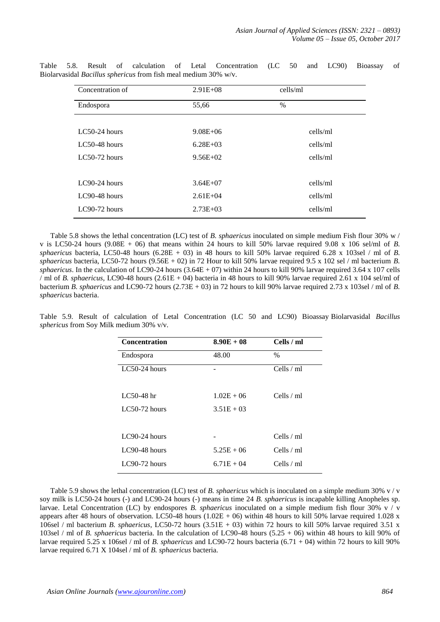| Concentration of | $2.91E + 08$ | cells/ml      |
|------------------|--------------|---------------|
| Endospora        | 55,66        | $\frac{0}{0}$ |
|                  |              |               |
| $LC50-24$ hours  | $9.08E + 06$ | cells/ml      |
| $LC50-48$ hours  | $6.28E + 03$ | cells/ml      |
| $LC50-72$ hours  | $9.56E + 02$ | cells/ml      |
|                  |              |               |
| $LC90-24$ hours  | $3.64E + 07$ | cells/ml      |
| $LC90-48$ hours  | $2.61E + 04$ | cells/ml      |
| LC90-72 hours    | $2.73E + 03$ | cells/ml      |

Table 5.8. Result of calculation of Letal Concentration (LC 50 and LC90) Bioassay of Biolarvasidal *Bacillus sphericus* from fish meal medium 30% w/v.

Table 5.8 shows the lethal concentration (LC) test of *B. sphaericus* inoculated on simple medium Fish flour 30% w / v is LC50-24 hours (9.08E + 06) that means within 24 hours to kill 50% larvae required 9.08 x 106 sel/ml of *B. sphaericus* bacteria, LC50-48 hours  $(6.28E + 03)$  in 48 hours to kill 50% larvae required 6.28 x 103sel / ml of *B*. *sphaericus* bacteria, LC50-72 hours (9.56E + 02) in 72 Hour to kill 50% larvae required 9.5 x 102 sel / ml bacterium *B. sphaericus*. In the calculation of LC90-24 hours (3.64E + 07) within 24 hours to kill 90% larvae required 3.64 x 107 cells / ml of *B. sphaericus*, LC90-48 hours (2.61E + 04) bacteria in 48 hours to kill 90% larvae required 2.61 x 104 sel/ml of bacterium *B. sphaericus* and LC90-72 hours (2.73E + 03) in 72 hours to kill 90% larvae required 2.73 x 103sel / ml of *B. sphaericus* bacteria.

| <b>Concentration</b> | $8.90E + 08$ | Cells / ml   |
|----------------------|--------------|--------------|
| Endospora            | 48.00        | $\%$         |
| $LC50-24$ hours      |              | Cells $/$ ml |
| $LC50-48$ hr         | $1.02E + 06$ | Cells $/$ ml |
| $LC50-72$ hours      | $3.51E + 03$ |              |
| $LC90-24$ hours      |              | Cells $/$ ml |
| $LC90-48$ hours      | $5.25E + 06$ | Cells $/$ ml |
| $LC90-72$ hours      | $6.71E + 04$ | Cells $/$ ml |

Table 5.9. Result of calculation of Letal Concentration (LC 50 and LC90) Bioassay Biolarvasidal *Bacillus sphericus* from Soy Milk medium 30% v/v.

Table 5.9 shows the lethal concentration (LC) test of *B. sphaericus* which is inoculated on a simple medium 30% v / v soy milk is LC50-24 hours (-) and LC90-24 hours (-) means in time 24 *B. sphaericus* is incapable killing Anopheles sp. larvae. Letal Concentration (LC) by endospores *B. sphaericus* inoculated on a simple medium fish flour 30% v / v appears after 48 hours of observation. LC50-48 hours  $(1.02E + 06)$  within 48 hours to kill 50% larvae required 1.028 x 106sel / ml bacterium *B. sphaericus*, LC50-72 hours (3.51E + 03) within 72 hours to kill 50% larvae required 3.51 x 103sel / ml of *B. sphaericus* bacteria. In the calculation of LC90-48 hours (5.25 + 06) within 48 hours to kill 90% of larvae required 5.25 x 106sel / ml of *B. sphaericus* and LC90-72 hours bacteria (6.71 + 04) within 72 hours to kill 90% larvae required 6.71 X 104sel / ml of *B. sphaericus* bacteria.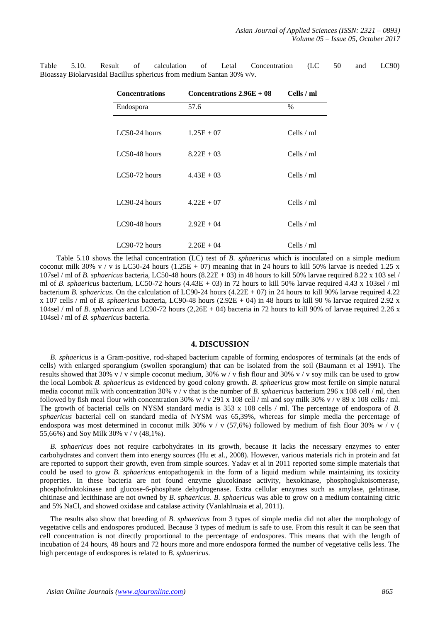| <b>Concentrations</b> | Concentrations $2.96E + 08$ | Cells / ml   |
|-----------------------|-----------------------------|--------------|
| Endospora             | 57.6                        | $\%$         |
|                       |                             |              |
| $LC50-24$ hours       | $1.25E + 07$                | Cells / ml   |
|                       |                             |              |
| $LC50-48$ hours       | $8.22E + 03$                | Cells / ml   |
|                       |                             |              |
| $LC50-72$ hours       | $4.43E + 03$                | Cells / ml   |
|                       |                             |              |
| $LC90-24$ hours       | $4.22E + 07$                | Cells $/$ ml |
|                       |                             |              |
| LC90-48 hours         | $2.92E + 04$                | Cells / ml   |
|                       |                             |              |
| $LC90-72$ hours       | $2.26E + 04$                | Cells $/$ ml |

Table 5.10. Result of calculation of Letal Concentration (LC 50 and LC90) Bioassay Biolarvasidal Bacillus sphericus from medium Santan 30% v/v.

 Table 5.10 shows the lethal concentration (LC) test of *B. sphaericus* which is inoculated on a simple medium coconut milk 30% v / v is LC50-24 hours  $(1.25E + 07)$  meaning that in 24 hours to kill 50% larvae is needed 1.25 x 107sel / ml of *B. sphaericus* bacteria, LC50-48 hours (8.22E + 03) in 48 hours to kill 50% larvae required 8.22 x 103 sel / ml of *B. sphaericus* bacterium, LC50-72 hours (4.43E + 03) in 72 hours to kill 50% larvae required 4.43 x 103sel / ml bacterium *B. sphaericus*. On the calculation of LC90-24 hours (4.22E + 07) in 24 hours to kill 90% larvae required 4.22 x 107 cells / ml of *B. sphaericus* bacteria, LC90-48 hours (2.92E + 04) in 48 hours to kill 90 % larvae required 2.92 x 104sel / ml of *B. sphaericus* and LC90-72 hours (2,26E + 04) bacteria in 72 hours to kill 90% of larvae required 2.26 x 104sel / ml of *B. sphaericus* bacteria.

#### **4. DISCUSSION**

*B. sphaericus* is a Gram-positive, rod-shaped bacterium capable of forming endospores of terminals (at the ends of cells) with enlarged sporangium (swollen sporangium) that can be isolated from the soil (Baumann et al 1991). The results showed that 30% v / v simple coconut medium, 30% w / v fish flour and 30% v / v soy milk can be used to grow the local Lombok *B. sphaericus* as evidenced by good colony growth. *B. sphaericus* grow most fertile on simple natural media coconut milk with concentration 30% v / v that is the number of *B. sphaericus* bacterium 296 x 108 cell / ml, then followed by fish meal flour with concentration 30% w / v 291 x 108 cell / ml and soy milk 30% v / v 89 x 108 cells / ml. The growth of bacterial cells on NYSM standard media is 353 x 108 cells / ml. The percentage of endospora of *B. sphaericus* bacterial cell on standard media of NYSM was 65,39%, whereas for simple media the percentage of endospora was most determined in coconut milk 30% v / v (57,6%) followed by medium of fish flour 30% w / v ( 55,66%) and Soy Milk 30% v / v (48,1%).

*B. sphaericus* does not require carbohydrates in its growth, because it lacks the necessary enzymes to enter carbohydrates and convert them into energy sources (Hu et al., 2008). However, various materials rich in protein and fat are reported to support their growth, even from simple sources. Yadav et al in 2011 reported some simple materials that could be used to grow *B. sphaericus* entopathogenik in the form of a liquid medium while maintaining its toxicity properties. In these bacteria are not found enzyme glucokinase activity, hexokinase, phosphoglukoisomerase, phosphofruktokinase and glucose-6-phosphate dehydrogenase. Extra cellular enzymes such as amylase, gelatinase, chitinase and lecithinase are not owned by *B. sphaericus*. *B. sphaericus* was able to grow on a medium containing citric and 5% NaCl, and showed oxidase and catalase activity (Vanlahlruaia et al, 2011).

The results also show that breeding of *B. sphaericus* from 3 types of simple media did not alter the morphology of vegetative cells and endospores produced. Because 3 types of medium is safe to use. From this result it can be seen that cell concentration is not directly proportional to the percentage of endospores. This means that with the length of incubation of 24 hours, 48 hours and 72 hours more and more endospora formed the number of vegetative cells less. The high percentage of endospores is related to *B. sphaericus.*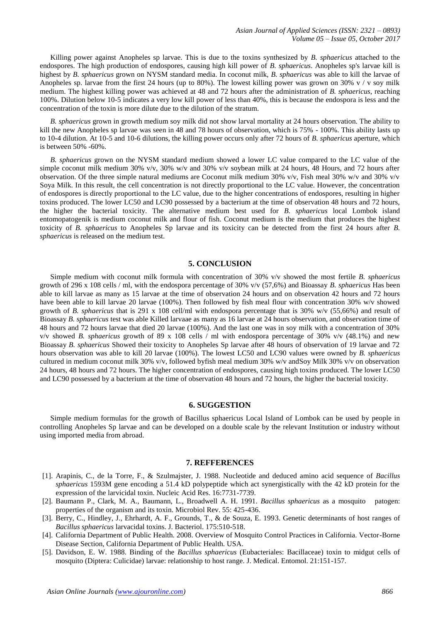Killing power against Anopheles sp larvae. This is due to the toxins synthesized by *B. sphaericus* attached to the endospores. The high production of endospores, causing high kill power of *B. sphaericus*. Anopheles sp's larvae kill is highest by *B. sphaericus* grown on NYSM standard media. In coconut milk, *B. sphaericus* was able to kill the larvae of Anopheles sp. larvae from the first 24 hours (up to 80%). The lowest killing power was grown on 30% v / v soy milk medium. The highest killing power was achieved at 48 and 72 hours after the administration of *B. sphaericus*, reaching 100%. Dilution below 10-5 indicates a very low kill power of less than 40%, this is because the endospora is less and the concentration of the toxin is more dilute due to the dilution of the stratum.

*B. sphaericus* grown in growth medium soy milk did not show larval mortality at 24 hours observation. The ability to kill the new Anopheles sp larvae was seen in 48 and 78 hours of observation, which is 75% - 100%. This ability lasts up to 10-4 dilution. At 10-5 and 10-6 dilutions, the killing power occurs only after 72 hours of *B. sphaericus* aperture, which is between 50% -60%.

*B. sphaericus* grown on the NYSM standard medium showed a lower LC value compared to the LC value of the simple coconut milk medium 30% v/v, 30% w/v and 30% v/v soybean milk at 24 hours, 48 Hours, and 72 hours after observation. Of the three simple natural mediums are Coconut milk medium 30% v/v, Fish meal 30% w/v and 30% v/v Soya Milk. In this result, the cell concentration is not directly proportional to the LC value. However, the concentration of endospores is directly proportional to the LC value, due to the higher concentrations of endospores, resulting in higher toxins produced. The lower LC50 and LC90 possessed by a bacterium at the time of observation 48 hours and 72 hours, the higher the bacterial toxicity. The alternative medium best used for *B. sphaericus* local Lombok island entomopatogenik is medium coconut milk and flour of fish. Coconut medium is the medium that produces the highest toxicity of *B. sphaericus* to Anopheles Sp larvae and its toxicity can be detected from the first 24 hours after *B. sphaericus* is released on the medium test.

## **5. CONCLUSION**

Simple medium with coconut milk formula with concentration of 30% v/v showed the most fertile *B. sphaericus* growth of 296 x 108 cells / ml, with the endospora percentage of 30% v/v (57,6%) and Bioassay *B. sphaericus* Has been able to kill larvae as many as 15 larvae at the time of observation 24 hours and on observation 42 hours and 72 hours have been able to kill larvae 20 larvae (100%). Then followed by fish meal flour with concentration 30% w/v showed growth of *B. sphaericus* that is 291 x 108 cell/ml with endospora percentage that is 30% w/v (55,66%) and result of Bioassay *B. sphaericus* test was able Killed larvaae as many as 16 larvae at 24 hours observation, and observation time of 48 hours and 72 hours larvae that died 20 larvae (100%). And the last one was in soy milk with a concentration of 30% v/v showed *B. sphaericus* growth of 89 x 108 cells / ml with endospora percentage of 30% v/v (48.1%) and new Bioassay *B. sphaericus* Showed their toxicity to Anopheles Sp larvae after 48 hours of observation of 19 larvae and 72 hours observation was able to kill 20 larvae (100%). The lowest LC50 and LC90 values were owned by *B. sphaericus* cultured in medium coconut milk 30% v/v, followed byfish meal medium 30% w/v andSoy Milk 30% v/v on observation 24 hours, 48 hours and 72 hours. The higher concentration of endospores, causing high toxins produced. The lower LC50 and LC90 possessed by a bacterium at the time of observation 48 hours and 72 hours, the higher the bacterial toxicity.

#### **6. SUGGESTION**

Simple medium formulas for the growth of Bacillus sphaericus Local Island of Lombok can be used by people in controlling Anopheles Sp larvae and can be developed on a double scale by the relevant Institution or industry without using imported media from abroad.

#### **7. REFFERENCES**

- [1]. Arapinis, C., de la Torre, F., & Szulmajster, J. 1988. Nucleotide and deduced amino acid sequence of *Bacillus sphaericus* 1593M gene encoding a 51.4 kD polypeptide which act synergistically with the 42 kD protein for the expression of the larvicidal toxin. Nucleic Acid Res. 16:7731-7739.
- [2]. Baumann P., Clark, M. A., Baumann, L., Broadwell A. H. 1991. *Bacillus sphaericus* as a mosquito patogen: properties of the organism and its toxin. Microbiol Rev. 55: 425-436.
- [3]. Berry, C., Hindley, J., Ehrhardt, A. F., Grounds, T., & de Souza, E. 1993. Genetic determinants of host ranges of *Bacillus sphaericus* larvacidal toxins. J. Bacteriol. 175:510-518.
- [4]. California Department of Public Health. 2008. Overview of Mosquito Control Practices in California. Vector-Borne Disease Section, California Department of Public Health. USA.
- [5]. Davidson, E. W. 1988. Binding of the *Bacillus sphaericus* (Eubacteriales: Bacillaceae) toxin to midgut cells of mosquito (Diptera: Culicidae) larvae: relationship to host range. J. Medical. Entomol. 21:151-157.